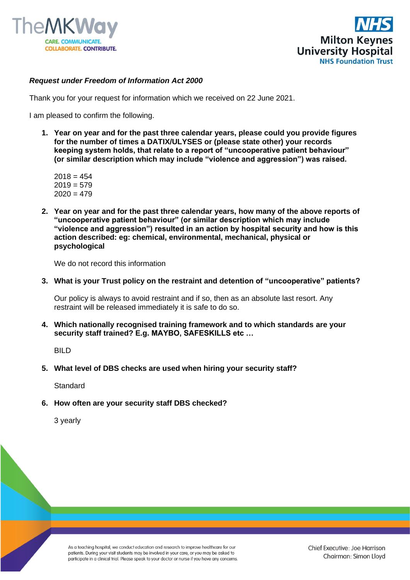



## *Request under Freedom of Information Act 2000*

Thank you for your request for information which we received on 22 June 2021.

I am pleased to confirm the following.

**1. Year on year and for the past three calendar years, please could you provide figures for the number of times a DATIX/ULYSES or (please state other) your records keeping system holds, that relate to a report of "uncooperative patient behaviour" (or similar description which may include "violence and aggression") was raised.**

 $2018 = 454$  $2019 = 579$  $2020 = 479$ 

**2. Year on year and for the past three calendar years, how many of the above reports of "uncooperative patient behaviour" (or similar description which may include "violence and aggression") resulted in an action by hospital security and how is this action described: eg: chemical, environmental, mechanical, physical or psychological**

We do not record this information

**3. What is your Trust policy on the restraint and detention of "uncooperative" patients?**

Our policy is always to avoid restraint and if so, then as an absolute last resort. Any restraint will be released immediately it is safe to do so.

**4. Which nationally recognised training framework and to which standards are your security staff trained? E.g. MAYBO, SAFESKILLS etc …**

**BILD** 

**5. What level of DBS checks are used when hiring your security staff?**

**Standard** 

**6. How often are your security staff DBS checked?**

3 yearly

As a teaching hospital, we conduct education and research to improve healthcare for our patients. During your visit students may be involved in your care, or you may be asked to participate in a clinical trial. Please speak to your doctor or nurse if you have any concerns.